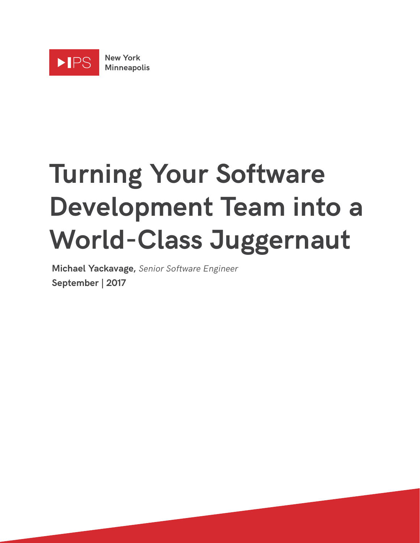

# **Turning Your Software Development Team into a World-Class Juggernaut**

**Michael Yackavage,** Senior Software Engineer **September | 2017**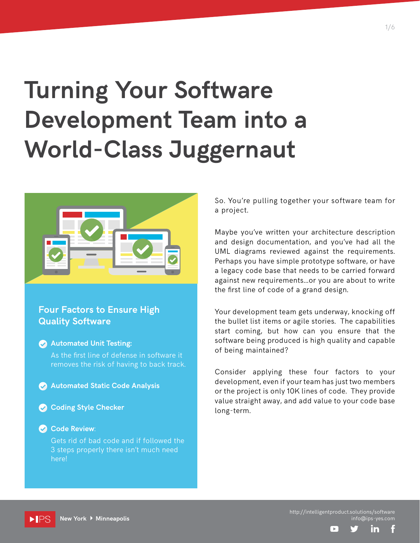## **Turning Your Software Development Team into a World-Class Juggernaut**



#### **Four Factors to Ensure High Quality Software**



Gets rid of bad code and if followed the 3 steps properly there isn't much need here!

So. You're pulling together your software team for a project.

Maybe you've written your architecture description and design documentation, and you've had all the UML diagrams reviewed against the requirements. Perhaps you have simple prototype software, or have a legacy code base that needs to be carried forward against new requirements...or you are about to write the first line of code of a grand design.

Your development team gets underway, knocking off the bullet list items or agile stories. The capabilities start coming, but how can you ensure that the software being produced is high quality and capable of being maintained?

Consider applying these four factors to your development, even if your team has just two members or the project is only 10K lines of code. They provide value straight away, and add value to your code base long-term.

·IPS **New York Minneapolis** http://intelligentproduct.solutions/software info@ips-yes.com

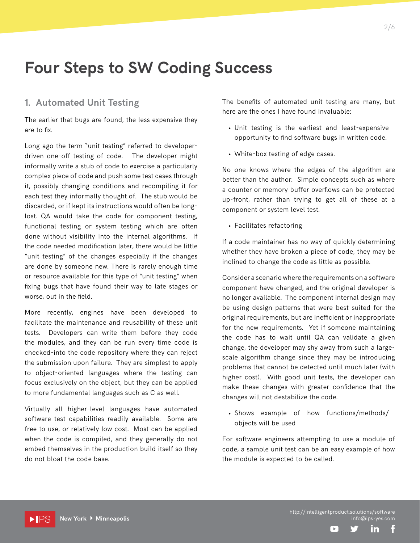### **Four Steps to SW Coding Success**

#### **1. Automated Unit Testing**

The earlier that bugs are found, the less expensive they are to fix.

Long ago the term "unit testing" referred to developerdriven one-off testing of code. The developer might informally write a stub of code to exercise a particularly complex piece of code and push some test cases through it, possibly changing conditions and recompiling it for each test they informally thought of. The stub would be discarded, or if kept its instructions would often be longlost. QA would take the code for component testing, functional testing or system testing which are often done without visibility into the internal algorithms. If the code needed modification later, there would be little "unit testing" of the changes especially if the changes are done by someone new. There is rarely enough time or resource available for this type of "unit testing" when fixing bugs that have found their way to late stages or worse, out in the field.

More recently, engines have been developed to facilitate the maintenance and reusability of these unit tests. Developers can write them before they code the modules, and they can be run every time code is checked-into the code repository where they can reject the submission upon failure. They are simplest to apply to object-oriented languages where the testing can focus exclusively on the object, but they can be applied to more fundamental languages such as C as well.

Virtually all higher-level languages have automated software test capabilities readily available. Some are free to use, or relatively low cost. Most can be applied when the code is compiled, and they generally do not embed themselves in the production build itself so they do not bloat the code base.

The benefits of automated unit testing are many, but here are the ones I have found invaluable:

2/6

- Unit testing is the earliest and least-expensive opportunity to find software bugs in written code.
- White-box testing of edge cases.

No one knows where the edges of the algorithm are better than the author. Simple concepts such as where a counter or memory buffer overflows can be protected up-front, rather than trying to get all of these at a component or system level test.

• Facilitates refactoring

If a code maintainer has no way of quickly determining whether they have broken a piece of code, they may be inclined to change the code as little as possible.

Consider a scenario where the requirements on a software component have changed, and the original developer is no longer available. The component internal design may be using design patterns that were best suited for the original requirements, but are inefficient or inappropriate for the new requirements. Yet if someone maintaining the code has to wait until QA can validate a given change, the developer may shy away from such a largescale algorithm change since they may be introducing problems that cannot be detected until much later (with higher cost). With good unit tests, the developer can make these changes with greater confidence that the changes will not destabilize the code.

• Shows example of how functions/methods/ objects will be used

For software engineers attempting to use a module of code, a sample unit test can be an easy example of how the module is expected to be called.

 $\Box$ 

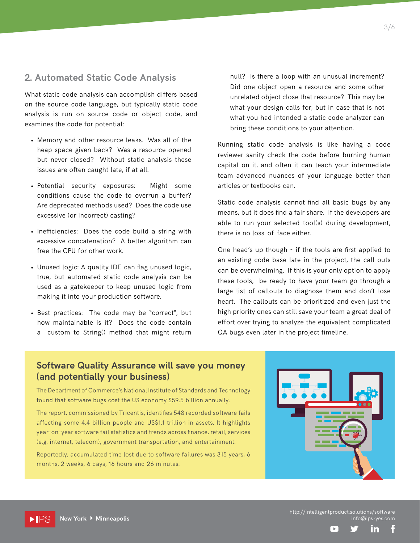#### **2. Automated Static Code Analysis**

What static code analysis can accomplish differs based on the source code language, but typically static code analysis is run on source code or object code, and examines the code for potential:

- Memory and other resource leaks. Was all of the heap space given back? Was a resource opened but never closed? Without static analysis these issues are often caught late, if at all.
- Potential security exposures: Might some conditions cause the code to overrun a buffer? Are deprecated methods used? Does the code use excessive (or incorrect) casting?
- Inefficiencies: Does the code build a string with excessive concatenation? A better algorithm can free the CPU for other work.
- Unused logic: A quality IDE can flag unused logic, true, but automated static code analysis can be used as a gatekeeper to keep unused logic from making it into your production software.
- Best practices: The code may be "correct", but how maintainable is it? Does the code contain a custom to String() method that might return

null? Is there a loop with an unusual increment? Did one object open a resource and some other unrelated object close that resource? This may be what your design calls for, but in case that is not what you had intended a static code analyzer can bring these conditions to your attention.

Running static code analysis is like having a code reviewer sanity check the code before burning human capital on it, and often it can teach your intermediate team advanced nuances of your language better than articles or textbooks can.

Static code analysis cannot find all basic bugs by any means, but it does find a fair share. If the developers are able to run your selected tool(s) during development, there is no loss-of-face either.

One head's up though - if the tools are first applied to an existing code base late in the project, the call outs can be overwhelming. If this is your only option to apply these tools, be ready to have your team go through a large list of callouts to diagnose them and don't lose heart. The callouts can be prioritized and even just the high priority ones can still save your team a great deal of effort over trying to analyze the equivalent complicated QA bugs even later in the project timeline.

#### **Software Quality Assurance will save you money (and potentially your business)**

The Department of Commerce's National Institute of Standards and Technology found that software bugs cost the US economy \$59.5 billion annually.

The report, commissioned by Tricentis, identifies 548 recorded software fails affecting some 4.4 billion people and US\$1.1 trillion in assets. It highlights year-on-year software fail statistics and trends across finance, retail, services (e.g. internet, telecom), government transportation, and entertainment.

Reportedly, accumulated time lost due to software failures was 315 years, 6 months, 2 weeks, 6 days, 16 hours and 26 minutes.



 $\Pi$ PS

http://intelligentproduct.solutions/software info@ips-yes.com

Ĭn

 $\mathbb{R}$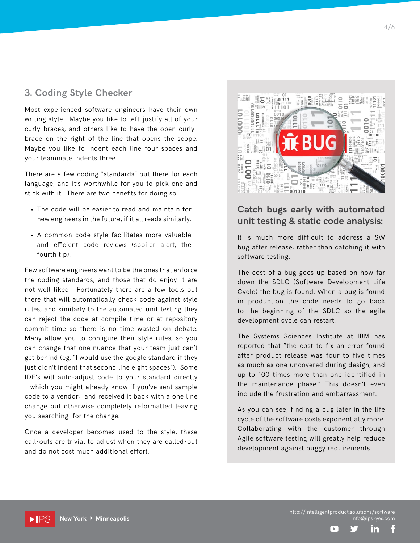#### **3. Coding Style Checker**

Most experienced software engineers have their own writing style. Maybe you like to left-justify all of your curly-braces, and others like to have the open curlybrace on the right of the line that opens the scope. Maybe you like to indent each line four spaces and your teammate indents three.

There are a few coding "standards" out there for each language, and it's worthwhile for you to pick one and stick with it. There are two benefits for doing so:

- The code will be easier to read and maintain for new engineers in the future, if it all reads similarly.
- A common code style facilitates more valuable and efficient code reviews (spoiler alert, the fourth tip).

Few software engineers want to be the ones that enforce the coding standards, and those that do enjoy it are not well liked. Fortunately there are a few tools out there that will automatically check code against style rules, and similarly to the automated unit testing they can reject the code at compile time or at repository commit time so there is no time wasted on debate. Many allow you to configure their style rules, so you can change that one nuance that your team just can't get behind (eg: "I would use the google standard if they just didn't indent that second line eight spaces"). Some IDE's will auto-adjust code to your standard directly - which you might already know if you've sent sample code to a vendor, and received it back with a one line change but otherwise completely reformatted leaving you searching for the change.

Once a developer becomes used to the style, these call-outs are trivial to adjust when they are called-out and do not cost much additional effort.

**New York Minneapolis**

 $\rho$  IPS



#### **Catch bugs early with automated unit testing & static code analysis:**

It is much more difficult to address a SW bug after release, rather than catching it with software testing.

The cost of a bug goes up based on how far down the SDLC (Software Development Life Cycle) the bug is found. When a bug is found in production the code needs to go back to the beginning of the SDLC so the agile development cycle can restart.

The Systems Sciences Institute at IBM has reported that "the cost to fix an error found after product release was four to five times as much as one uncovered during design, and up to 100 times more than one identified in the maintenance phase." This doesn't even include the frustration and embarrassment.

As you can see, finding a bug later in the life cycle of the software costs exponentially more. Collaborating with the customer through Agile software testing will greatly help reduce development against buggy requirements.

http://intelligentproduct.solutions/software info@ips-yes.com

in

 $\blacktriangleright$